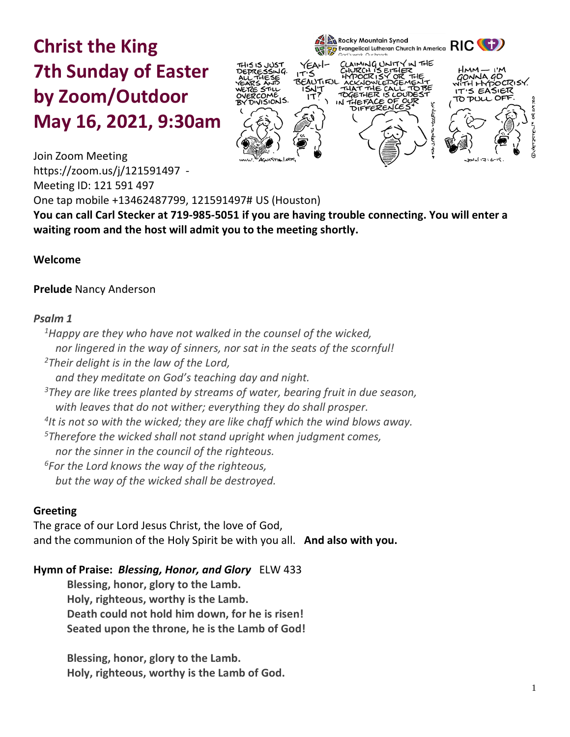# **Christ the King 7th Sunday of Easter by Zoom/Outdoor May 16, 2021, 9:30am**



Join Zoom Meeting <https://zoom.us/j/121591497>- Meeting ID: 121 591 497 One tap mobile +13462487799, 121591497# US (Houston) **You can call Carl Stecker at 719-985-5051 if you are having trouble connecting. You will enter a** 

#### **Welcome**

#### **Prelude** Nancy Anderson

#### *Psalm 1*

*<sup>1</sup>Happy are they who have not walked in the counsel of the wicked, nor lingered in the way of sinners, nor sat in the seats of the scornful! <sup>2</sup>Their delight is in the law of the Lord, and they meditate on God's teaching day and night. <sup>3</sup>They are like trees planted by streams of water, bearing fruit in due season, with leaves that do not wither; everything they do shall prosper. 4 It is not so with the wicked; they are like chaff which the wind blows away. <sup>5</sup>Therefore the wicked shall not stand upright when judgment comes, nor the sinner in the council of the righteous. <sup>6</sup>For the Lord knows the way of the righteous, but the way of the wicked shall be destroyed.*

**waiting room and the host will admit you to the meeting shortly.** 

#### **Greeting**

The grace of our Lord Jesus Christ, the love of God, and the communion of the Holy Spirit be with you all. **And also with you.**

#### **Hymn of Praise:** *Blessing, Honor, and Glory* ELW 433

**Blessing, honor, glory to the Lamb. Holy, righteous, worthy is the Lamb. Death could not hold him down, for he is risen! Seated upon the throne, he is the Lamb of God!**

**Blessing, honor, glory to the Lamb. Holy, righteous, worthy is the Lamb of God.**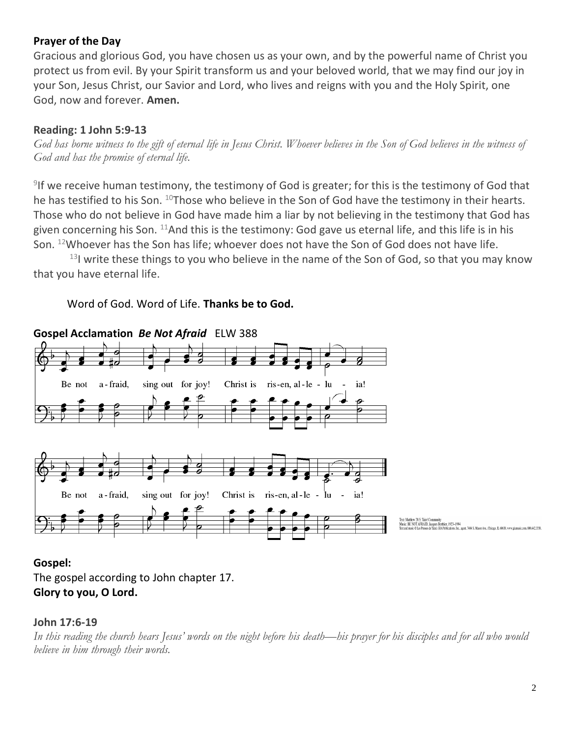# **Prayer of the Day**

Gracious and glorious God, you have chosen us as your own, and by the powerful name of Christ you protect us from evil. By your Spirit transform us and your beloved world, that we may find our joy in your Son, Jesus Christ, our Savior and Lord, who lives and reigns with you and the Holy Spirit, one God, now and forever. **Amen.**

# **Reading: 1 John 5:9-13**

*God has borne witness to the gift of eternal life in Jesus Christ. Whoever believes in the Son of God believes in the witness of God and has the promise of eternal life.*

9 If we receive human testimony, the testimony of God is greater; for this is the testimony of God that he has testified to his Son. <sup>10</sup>Those who believe in the Son of God have the testimony in their hearts. Those who do not believe in God have made him a liar by not believing in the testimony that God has given concerning his Son.  $11$ And this is the testimony: God gave us eternal life, and this life is in his Son. <sup>12</sup>Whoever has the Son has life; whoever does not have the Son of God does not have life.

 $13$ I write these things to you who believe in the name of the Son of God, so that you may know that you have eternal life.

# Word of God. Word of Life. **Thanks be to God.**



# **Gospel Acclamation** *Be Not Afraid* ELW 388

# **Gospel:**

The gospel according to John chapter 17. **Glory to you, O Lord.**

#### **John 17:6-19**

*In this reading the church hears Jesus' words on the night before his death—his prayer for his disciples and for all who would believe in him through their words.*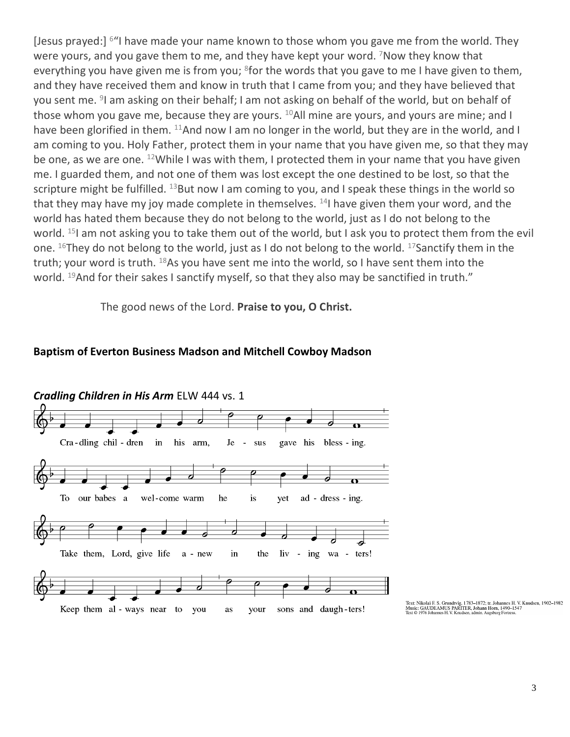[Jesus prayed:] <sup>6"</sup>I have made your name known to those whom you gave me from the world. They were yours, and you gave them to me, and they have kept your word. <sup>7</sup>Now they know that everything you have given me is from you; <sup>8</sup>for the words that you gave to me I have given to them, and they have received them and know in truth that I came from you; and they have believed that you sent me. <sup>9</sup>I am asking on their behalf; I am not asking on behalf of the world, but on behalf of those whom you gave me, because they are yours.  $^{10}$ All mine are yours, and yours are mine; and I have been glorified in them. <sup>11</sup>And now I am no longer in the world, but they are in the world, and I am coming to you. Holy Father, protect them in your name that you have given me, so that they may be one, as we are one. <sup>12</sup>While I was with them, I protected them in your name that you have given me. I guarded them, and not one of them was lost except the one destined to be lost, so that the scripture might be fulfilled.  $^{13}$ But now I am coming to you, and I speak these things in the world so that they may have my joy made complete in themselves.  $14$  have given them your word, and the world has hated them because they do not belong to the world, just as I do not belong to the world. <sup>15</sup>I am not asking you to take them out of the world, but I ask you to protect them from the evil one. <sup>16</sup>They do not belong to the world, just as I do not belong to the world. <sup>17</sup>Sanctify them in the truth; your word is truth. <sup>18</sup>As you have sent me into the world, so I have sent them into the world. <sup>19</sup>And for their sakes I sanctify myself, so that they also may be sanctified in truth."

The good news of the Lord. **Praise to you, O Christ.**

#### **Baptism of Everton Business Madson and Mitchell Cowboy Madson**



Text: Nikolai F. S. Grundtvig, 1783–1872; tr. Johannes H. V. Knudsen, 1902–1982<br>Music: GAUDEAMUS PARITER, Johann Horn, 1490–1547<br>Text © 1976 Johannes H. V. Knudsen, admin. Augsburg Fortress.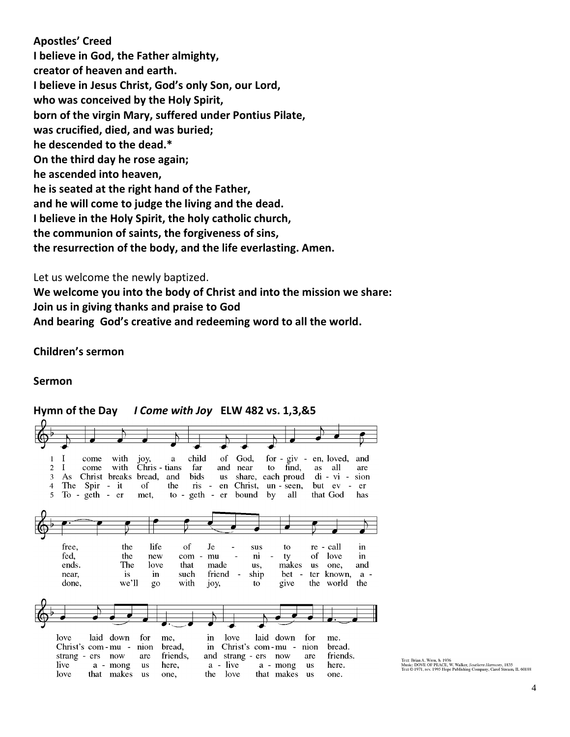**Apostles' Creed I believe in God, the Father almighty, creator of heaven and earth. I believe in Jesus Christ, God's only Son, our Lord, who was conceived by the Holy Spirit, born of the virgin Mary, suffered under Pontius Pilate, was crucified, died, and was buried; he descended to the dead.\* On the third day he rose again; he ascended into heaven, he is seated at the right hand of the Father, and he will come to judge the living and the dead. I believe in the Holy Spirit, the holy catholic church, the communion of saints, the forgiveness of sins, the resurrection of the body, and the life everlasting. Amen.**

Let us welcome the newly baptized.

**We welcome you into the body of Christ and into the mission we share: Join us in giving thanks and praise to God And bearing God's creative and redeeming word to all the world.**

**Children's sermon**

#### **Sermon**



# **Hymn of the Day** *I Come with Joy* **ELW 482 vs. 1,3,&5**

Text: Brian A. Wren, b. 1936<br>Music: DOVE OF PEACE, W. Walker, *Southern Harmon*y, 1835<br>Text © 1971, rev. 1995 Hope Publishing Company, Carol Stream, IL 60188.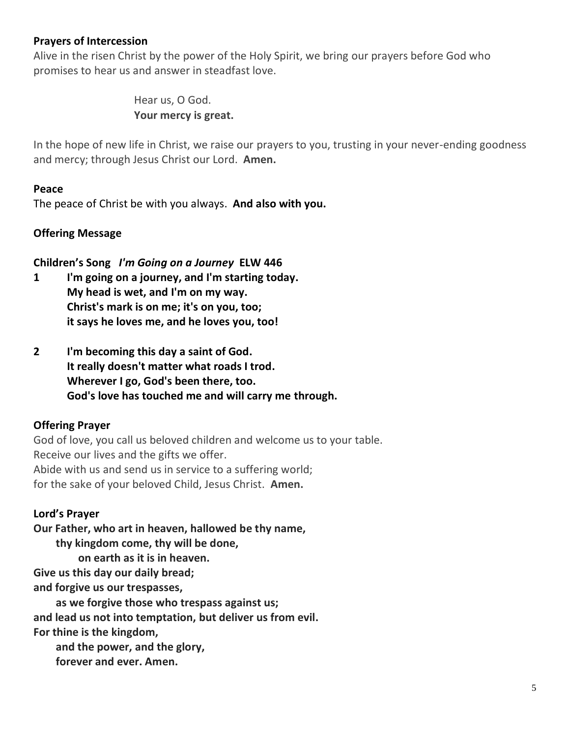#### **Prayers of Intercession**

Alive in the risen Christ by the power of the Holy Spirit, we bring our prayers before God who promises to hear us and answer in steadfast love.

> Hear us, O God. **Your mercy is great.**

In the hope of new life in Christ, we raise our prayers to you, trusting in your never-ending goodness and mercy; through Jesus Christ our Lord. **Amen.**

#### **Peace**

The peace of Christ be with you always. **And also with you.**

#### **Offering Message**

**Children's Song** *I'm Going on a Journey* **ELW 446**

- **1 I'm going on a journey, and I'm starting today. My head is wet, and I'm on my way. Christ's mark is on me; it's on you, too; it says he loves me, and he loves you, too!**
- **2 I'm becoming this day a saint of God. It really doesn't matter what roads I trod. Wherever I go, God's been there, too. God's love has touched me and will carry me through.**

# **Offering Prayer**

God of love, you call us beloved children and welcome us to your table. Receive our lives and the gifts we offer. Abide with us and send us in service to a suffering world; for the sake of your beloved Child, Jesus Christ. **Amen.**

#### **Lord's Prayer**

**Our Father, who art in heaven, hallowed be thy name, thy kingdom come, thy will be done, on earth as it is in heaven. Give us this day our daily bread; and forgive us our trespasses, as we forgive those who trespass against us; and lead us not into temptation, but deliver us from evil. For thine is the kingdom, and the power, and the glory,**

**forever and ever. Amen.**